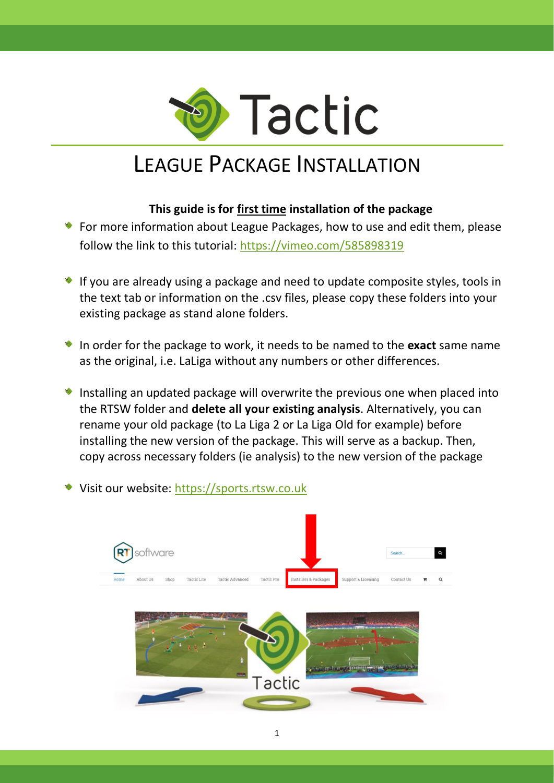

## LEAGUE PACKAGE INSTALLATION

## **This guide is for first time installation of the package**

- For more information about League Packages, how to use and edit them, please follow the link to this tutorial:<https://vimeo.com/585898319>
- If you are already using a package and need to update composite styles, tools in the text tab or information on the .csv files, please copy these folders into your existing package as stand alone folders.
- In order for the package to work, it needs to be named to the **exact** same name as the original, i.e. LaLiga without any numbers or other differences.
- Installing an updated package will overwrite the previous one when placed into the RTSW folder and **delete all your existing analysis**. Alternatively, you can rename your old package (to La Liga 2 or La Liga Old for example) before installing the new version of the package. This will serve as a backup. Then, copy across necessary folders (ie analysis) to the new version of the package
- Visit our website: [https://sports.rtsw.co.uk](https://sports.rtsw.co.uk/)

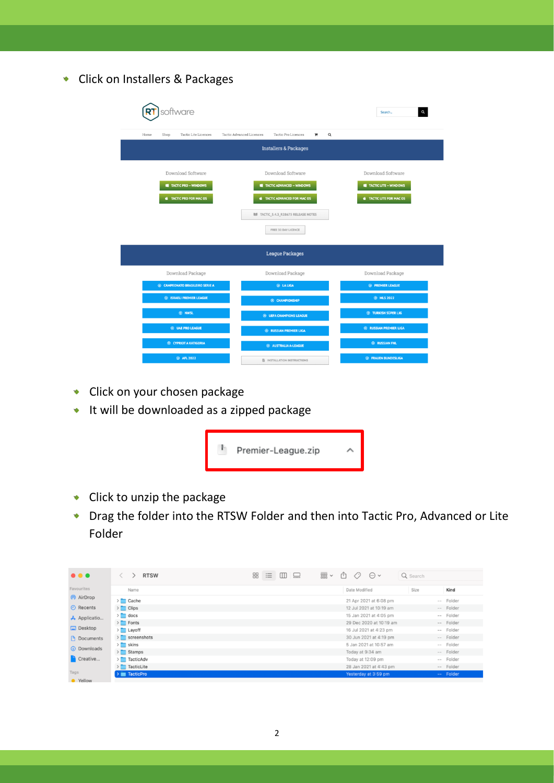Click on Installers & Packages

| software                                | Q<br>Search                                               |                                            |  |  |  |  |  |  |  |  |
|-----------------------------------------|-----------------------------------------------------------|--------------------------------------------|--|--|--|--|--|--|--|--|
|                                         |                                                           |                                            |  |  |  |  |  |  |  |  |
| Tactic Lite Licences<br>Home<br>Shop    | Tactic Advanced Licences<br>Tactic Pro Licences<br>Q<br>× |                                            |  |  |  |  |  |  |  |  |
| <b>Installers &amp; Packages</b>        |                                                           |                                            |  |  |  |  |  |  |  |  |
|                                         |                                                           |                                            |  |  |  |  |  |  |  |  |
| Download Software                       | Download Software                                         | Download Software<br>TACTIC LITE - WINDOWS |  |  |  |  |  |  |  |  |
| <b>TACTIC PRO - WINDOWS</b>             | <b>TACTIC ADVANCED - WINDOWS</b>                          |                                            |  |  |  |  |  |  |  |  |
| <b>E</b> TACTIC PRO FOR MAC OS          | TACTIC ADVANCED FOR MAC OS                                | <b>S</b> TACTIC LITE FOR MAC OS            |  |  |  |  |  |  |  |  |
|                                         |                                                           |                                            |  |  |  |  |  |  |  |  |
|                                         |                                                           |                                            |  |  |  |  |  |  |  |  |
|                                         | FREE 30 DAY LICENCE                                       |                                            |  |  |  |  |  |  |  |  |
|                                         |                                                           |                                            |  |  |  |  |  |  |  |  |
|                                         | <b>League Packages</b>                                    |                                            |  |  |  |  |  |  |  |  |
| Download Package                        | Download Package                                          | Download Package                           |  |  |  |  |  |  |  |  |
| <b>6 CAMPEONATO BRASILEIRO SERIE A</b>  | <b>E LA LIGA</b>                                          | <b><sup>®</sup></b> PREMIER LEAGUE         |  |  |  |  |  |  |  |  |
| <b>6 ISRAELI PREMIER LEAGUE</b>         | <b>E</b> CHAMPIONSHIP                                     | <b>@ MLS 2022</b>                          |  |  |  |  |  |  |  |  |
| ® NWSL                                  | <b>E UEFA CHAMPIONS LEAGUE</b>                            | <b>E TURKISH SÜPER LIG</b>                 |  |  |  |  |  |  |  |  |
| <b>E UAE PRO LEAGUE</b>                 | <b>E RUSSIAN PREMIER LIGA</b>                             | <b>E RUSSIAN PREMIER LIGA</b>              |  |  |  |  |  |  |  |  |
| <b><sup>4</sup> CYPRIOT A KATIGORIA</b> | <b>E</b> AUSTRALIA A-LEAGUE                               | <b>E</b> RUSSIAN FNL                       |  |  |  |  |  |  |  |  |

- **Click on your chosen package**
- **It will be downloaded as a zipped package**



- Click to unzip the package
- Drag the folder into the RTSW Folder and then into Tactic Pro, Advanced or Lite  $\bullet$ Folder

| $\bullet\bullet\bullet$ | <b>RTSW</b>        | 88<br>三 | $\square$<br>닢 | $\frac{000}{000}$<br>rħ<br>$\checkmark$ | $(\cdots)$ $\vee$       | Q Search |           |
|-------------------------|--------------------|---------|----------------|-----------------------------------------|-------------------------|----------|-----------|
| Favourites              | Name               |         |                |                                         | Date Modified           | Size     | Kind      |
| AirDrop                 | $\sum$ Cache       |         |                |                                         | 21 Apr 2021 at 6:08 pm  |          | -- Folder |
| <b>O</b> Recents        | $\sum$ Clips       |         |                |                                         | 12 Jul 2021 at 10:19 am |          | -- Folder |
| A Applicatio            | $\sum$ docs        |         |                |                                         | 15 Jan 2021 at 4:05 pm  |          | -- Folder |
|                         | $\sum$ Fonts       |         |                |                                         | 29 Dec 2020 at 10:19 am |          | -- Folder |
| $\Box$ Desktop          | $\sum$ Layoff      |         |                |                                         | 16 Jul 2021 at 4:23 pm  |          | -- Folder |
| Documents               | $\sum$ screenshots |         |                |                                         | 30 Jun 2021 at 4:19 pm  |          | -- Folder |
| <b>4</b> Downloads      | $\sum$ skins       |         |                |                                         | 5 Jan 2021 at 10:57 am  |          | -- Folder |
|                         | $\sum$ Stamps      |         |                |                                         | Today at 9:34 am        |          | -- Folder |
| Creative                | > TacticAdv        |         |                |                                         | Today at 12:09 pm       |          | -- Folder |
|                         | $\sum$ TacticLite  |         |                |                                         | 28 Jan 2021 at 4:43 pm  |          | -- Folder |
| Tags                    | $\sum$ Tactic Pro  |         |                |                                         | Yesterday at 3:59 pm    |          | -- Folder |
| Nollow                  |                    |         |                |                                         |                         |          |           |